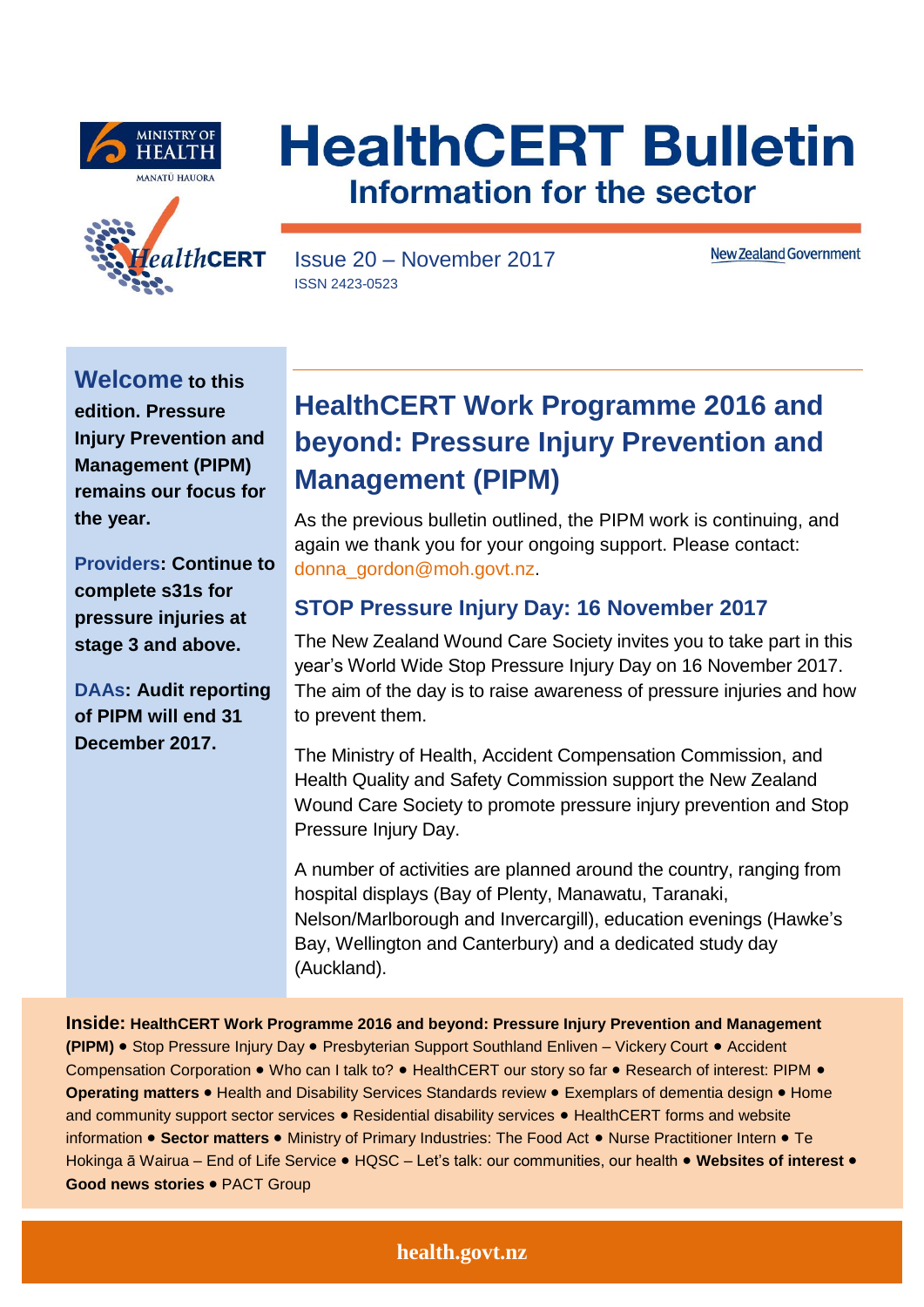





Issue 20 – November 2017 ISSN 2423-0523

**New Zealand Government** 

**Welcome to this edition. Pressure Injury Prevention and Management (PIPM) remains our focus for the year.** 

**Providers: Continue to complete s31s for pressure injuries at stage 3 and above.**

**DAAs: Audit reporting of PIPM will end 31 December 2017.**

# **HealthCERT Work Programme 2016 and beyond: Pressure Injury Prevention and Management (PIPM)**

As the previous bulletin outlined, the PIPM work is continuing, and again we thank you for your ongoing support. Please contact: [donna\\_gordon@moh.govt.nz.](mailto:donna_gordon@moh.govt.nz)

## **STOP Pressure Injury Day: 16 November 2017**

The New Zealand Wound Care Society invites you to take part in this year's World Wide Stop Pressure Injury Day on 16 November 2017. The aim of the day is to raise awareness of pressure injuries and how to prevent them.

The Ministry of Health, Accident Compensation Commission, and Health Quality and Safety Commission support the New Zealand Wound Care Society to promote pressure injury prevention and Stop Pressure Injury Day.

A number of activities are planned around the country, ranging from hospital displays (Bay of Plenty, Manawatu, Taranaki, Nelson/Marlborough and Invercargill), education evenings (Hawke's Bay, Wellington and Canterbury) and a dedicated study day (Auckland).

**Inside: HealthCERT Work Programme 2016 and beyond: Pressure Injury Prevention and Management (PIPM)** Stop Pressure Injury Day Presbyterian Support Southland Enliven – Vickery Court Accident Compensation Corporation . Who can I talk to? . HealthCERT our story so far . Research of interest: PIPM . **Operating matters • Health and Disability Services Standards review • Exemplars of dementia design • Home** and community support sector services . Residential disability services . HealthCERT forms and website information . Sector matters . Ministry of Primary Industries: The Food Act . Nurse Practitioner Intern . Te Hokinga ā Wairua - End of Life Service · HQSC - Let's talk: our communities, our health · Websites of interest · **Good news stories** PACT Group

### **health.govt.nz**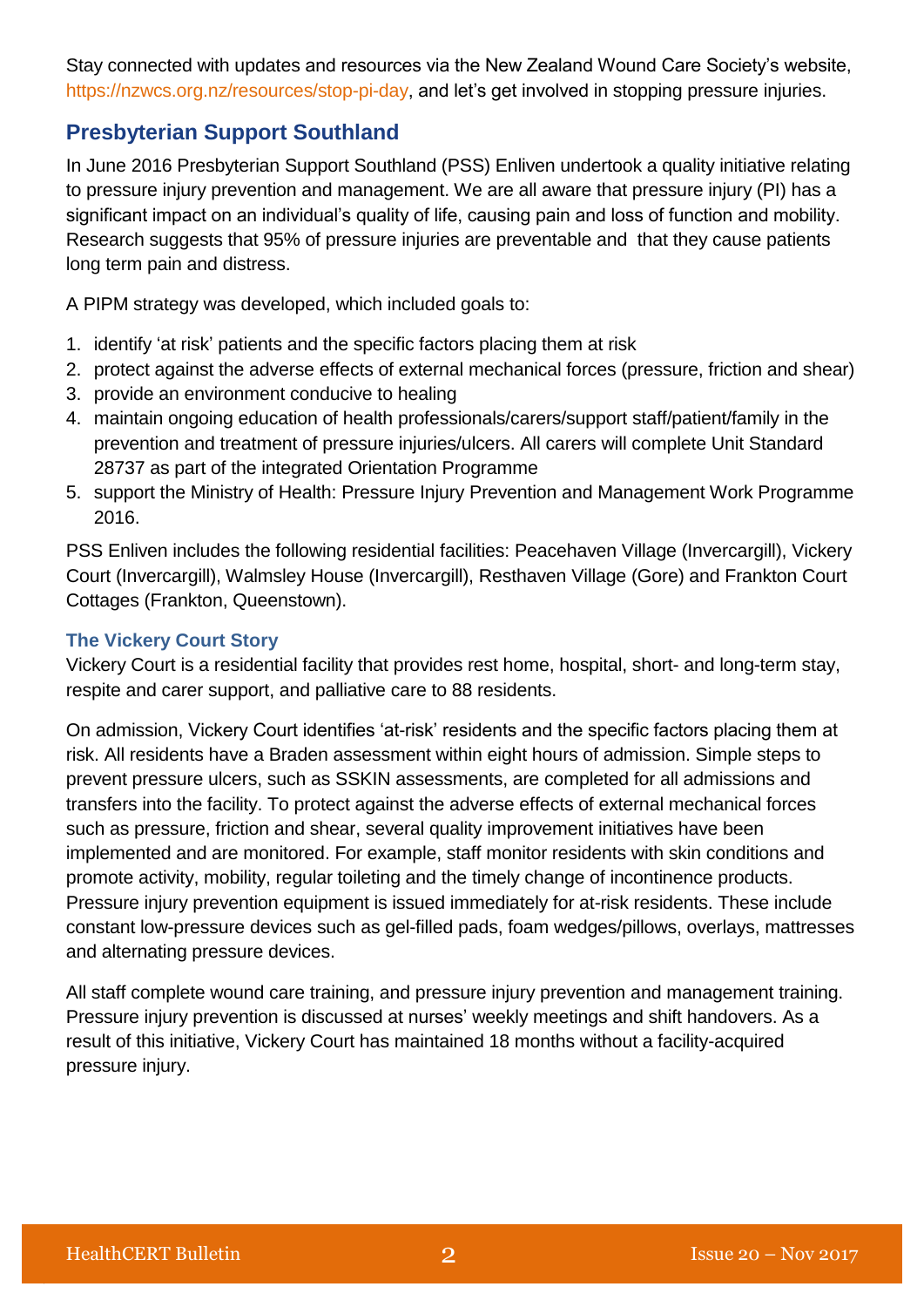Stay connected with updates and resources via the New Zealand Wound Care Society's website, [https://nzwcs.org.nz/resources/stop-pi-day,](https://nzwcs.org.nz/resources/stop-pi-day) and let's get involved in stopping pressure injuries.

## **Presbyterian Support Southland**

In June 2016 Presbyterian Support Southland (PSS) Enliven undertook a quality initiative relating to pressure injury prevention and management. We are all aware that pressure injury (PI) has a significant impact on an individual's quality of life, causing pain and loss of function and mobility. Research suggests that 95% of pressure injuries are preventable and that they cause patients long term pain and distress.

A PIPM strategy was developed, which included goals to:

- 1. identify 'at risk' patients and the specific factors placing them at risk
- 2. protect against the adverse effects of external mechanical forces (pressure, friction and shear)
- 3. provide an environment conducive to healing
- 4. maintain ongoing education of health professionals/carers/support staff/patient/family in the prevention and treatment of pressure injuries/ulcers. All carers will complete Unit Standard 28737 as part of the integrated Orientation Programme
- 5. support the Ministry of Health: Pressure Injury Prevention and Management Work Programme 2016.

PSS Enliven includes the following residential facilities: Peacehaven Village (Invercargill), Vickery Court (Invercargill), Walmsley House (Invercargill), Resthaven Village (Gore) and Frankton Court Cottages (Frankton, Queenstown).

### **The Vickery Court Story**

Vickery Court is a residential facility that provides rest home, hospital, short- and long-term stay, respite and carer support, and palliative care to 88 residents.

On admission, Vickery Court identifies 'at-risk' residents and the specific factors placing them at risk. All residents have a Braden assessment within eight hours of admission. Simple steps to prevent pressure ulcers, such as SSKIN assessments, are completed for all admissions and transfers into the facility. To protect against the adverse effects of external mechanical forces such as pressure, friction and shear, several quality improvement initiatives have been implemented and are monitored. For example, staff monitor residents with skin conditions and promote activity, mobility, regular toileting and the timely change of incontinence products. Pressure injury prevention equipment is issued immediately for at-risk residents. These include constant low-pressure devices such as gel-filled pads, foam wedges/pillows, overlays, mattresses and alternating pressure devices.

All staff complete wound care training, and pressure injury prevention and management training. Pressure injury prevention is discussed at nurses' weekly meetings and shift handovers. As a result of this initiative, Vickery Court has maintained 18 months without a facility-acquired pressure injury.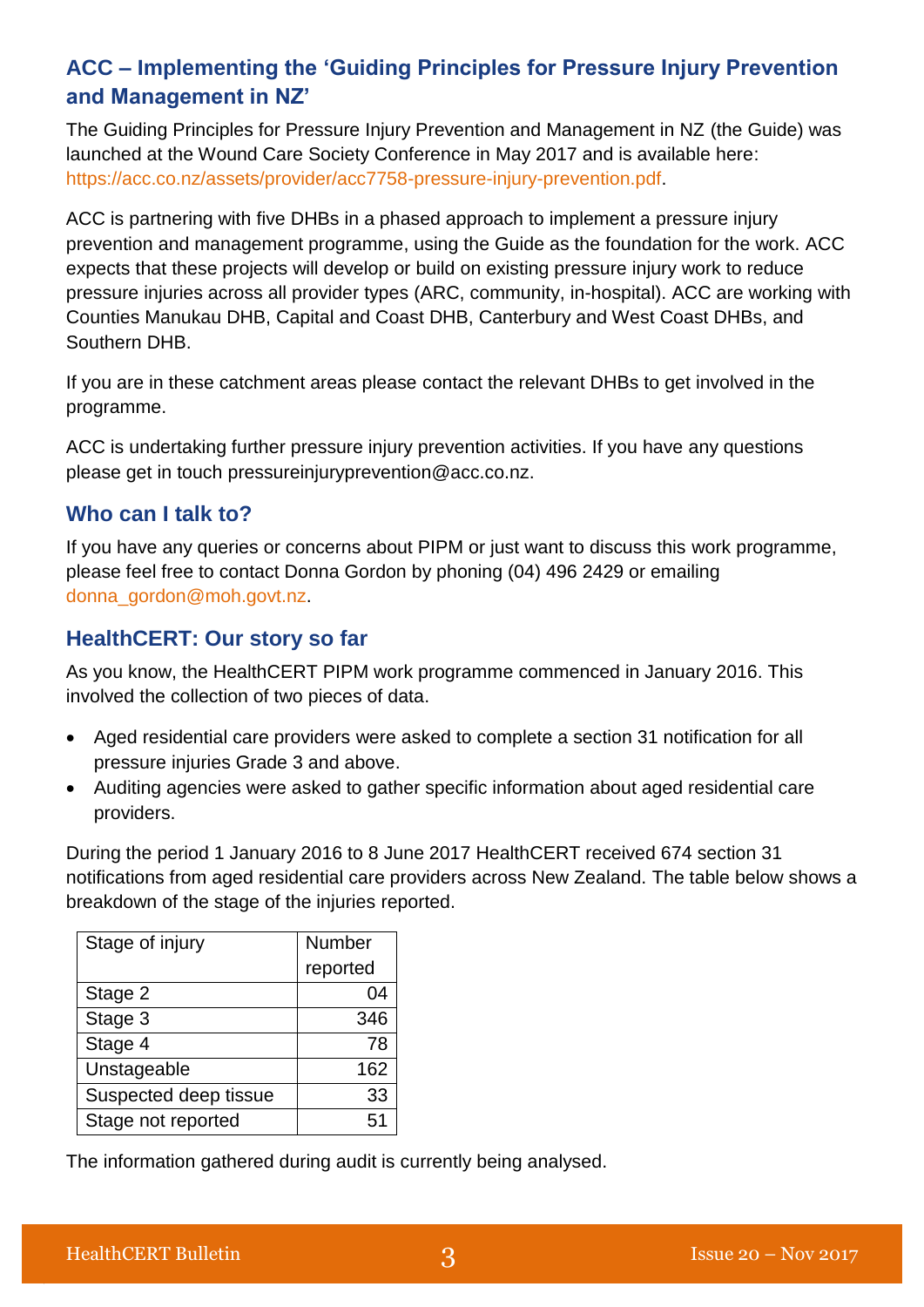## **ACC – Implementing the 'Guiding Principles for Pressure Injury Prevention and Management in NZ'**

The Guiding Principles for Pressure Injury Prevention and Management in NZ (the Guide) was launched at the Wound Care Society Conference in May 2017 and is available here: [https://acc.co.nz/assets/provider/acc7758-pressure-injury-prevention.pdf.](https://acc.co.nz/assets/provider/acc7758-pressure-injury-prevention.pdf)

ACC is partnering with five DHBs in a phased approach to implement a pressure injury prevention and management programme, using the Guide as the foundation for the work. ACC expects that these projects will develop or build on existing pressure injury work to reduce pressure injuries across all provider types (ARC, community, in-hospital). ACC are working with Counties Manukau DHB, Capital and Coast DHB, Canterbury and West Coast DHBs, and Southern DHB.

If you are in these catchment areas please contact the relevant DHBs to get involved in the programme.

ACC is undertaking further pressure injury prevention activities. If you have any questions please get in touch [pressureinjuryprevention@acc.co.nz.](mailto:pressureinjuryprevention@acc.co.nz)

## **Who can I talk to?**

If you have any queries or concerns about PIPM or just want to discuss this work programme, please feel free to contact Donna Gordon by phoning (04) 496 2429 or emailing [donna\\_gordon@moh.govt.nz.](mailto:donna_gordon@moh.govt.nz)

## **HealthCERT: Our story so far**

As you know, the HealthCERT PIPM work programme commenced in January 2016. This involved the collection of two pieces of data.

- Aged residential care providers were asked to complete a section 31 notification for all pressure injuries Grade 3 and above.
- Auditing agencies were asked to gather specific information about aged residential care providers.

During the period 1 January 2016 to 8 June 2017 HealthCERT received 674 section 31 notifications from aged residential care providers across New Zealand. The table below shows a breakdown of the stage of the injuries reported.

| Stage of injury       | <b>Number</b> |
|-----------------------|---------------|
|                       | reported      |
| Stage 2               | 04            |
| Stage 3               | 346           |
| Stage 4               | 78            |
| Unstageable           | 162           |
| Suspected deep tissue | 33            |
| Stage not reported    | 51            |

The information gathered during audit is currently being analysed.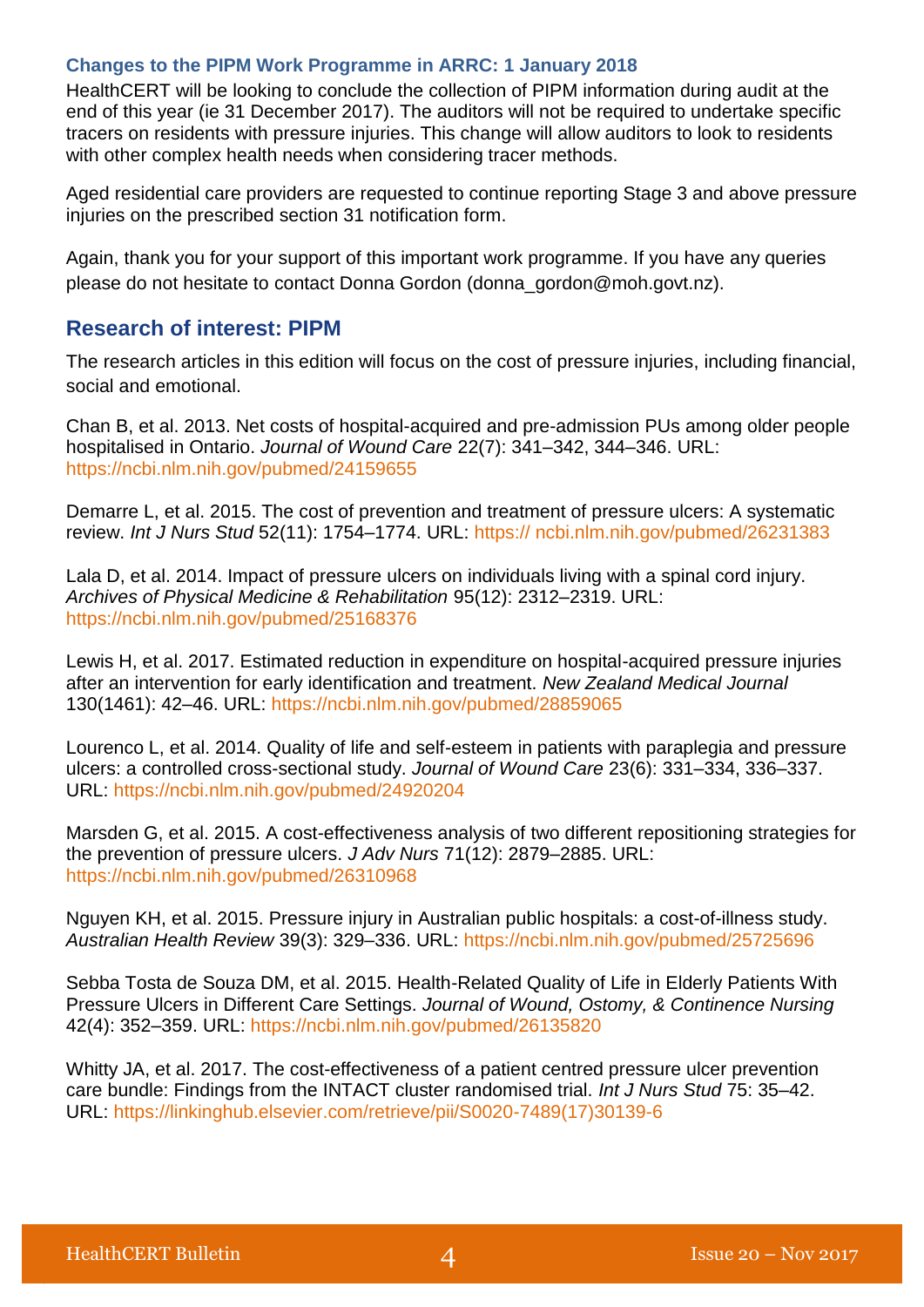#### **Changes to the PIPM Work Programme in ARRC: 1 January 2018**

HealthCERT will be looking to conclude the collection of PIPM information during audit at the end of this year (ie 31 December 2017). The auditors will not be required to undertake specific tracers on residents with pressure injuries. This change will allow auditors to look to residents with other complex health needs when considering tracer methods.

Aged residential care providers are requested to continue reporting Stage 3 and above pressure injuries on the prescribed section 31 notification form.

Again, thank you for your support of this important work programme. If you have any queries please do not hesitate to contact Donna Gordon (donna\_gordon@moh.govt.nz).

### **Research of interest: PIPM**

The research articles in this edition will focus on the cost of pressure injuries, including financial, social and emotional.

Chan B, et al. 2013. Net costs of hospital-acquired and pre-admission PUs among older people hospitalised in Ontario. *Journal of Wound Care* 22(7): 341–342, 344–346. URL: <https://ncbi.nlm.nih.gov/pubmed/24159655>

Demarre L, et al. 2015. The cost of prevention and treatment of pressure ulcers: A systematic review. *Int J Nurs Stud* 52(11): 1754–1774. URL: https:// [ncbi.nlm.nih.gov/pubmed/26231383](https://www.ncbi.nlm.nih.gov/pubmed/26231383)

Lala D, et al. 2014. Impact of pressure ulcers on individuals living with a spinal cord injury. *Archives of Physical Medicine & Rehabilitation* 95(12): 2312–2319. URL: <https://ncbi.nlm.nih.gov/pubmed/25168376>

Lewis H, et al. 2017. Estimated reduction in expenditure on hospital-acquired pressure injuries after an intervention for early identification and treatment. *New Zealand Medical Journal* 130(1461): 42–46. URL: <https://ncbi.nlm.nih.gov/pubmed/28859065>

Lourenco L, et al. 2014. Quality of life and self-esteem in patients with paraplegia and pressure ulcers: a controlled cross-sectional study. *Journal of Wound Care* 23(6): 331–334, 336–337. URL:<https://ncbi.nlm.nih.gov/pubmed/24920204>

Marsden G, et al. 2015. A cost-effectiveness analysis of two different repositioning strategies for the prevention of pressure ulcers. *J Adv Nurs* 71(12): 2879–2885. URL: <https://ncbi.nlm.nih.gov/pubmed/26310968>

Nguyen KH, et al. 2015. Pressure injury in Australian public hospitals: a cost-of-illness study. *Australian Health Review* 39(3): 329–336. URL:<https://ncbi.nlm.nih.gov/pubmed/25725696>

Sebba Tosta de Souza DM, et al. 2015. Health-Related Quality of Life in Elderly Patients With Pressure Ulcers in Different Care Settings. *Journal of Wound, Ostomy, & Continence Nursing* 42(4): 352–359. URL: <https://ncbi.nlm.nih.gov/pubmed/26135820>

Whitty JA, et al. 2017. The cost-effectiveness of a patient centred pressure ulcer prevention care bundle: Findings from the INTACT cluster randomised trial. *Int J Nurs Stud* 75: 35–42. URL: [https://linkinghub.elsevier.com/retrieve/pii/S0020-7489\(17\)30139-6](https://linkinghub.elsevier.com/retrieve/pii/S0020-7489(17)30139-6)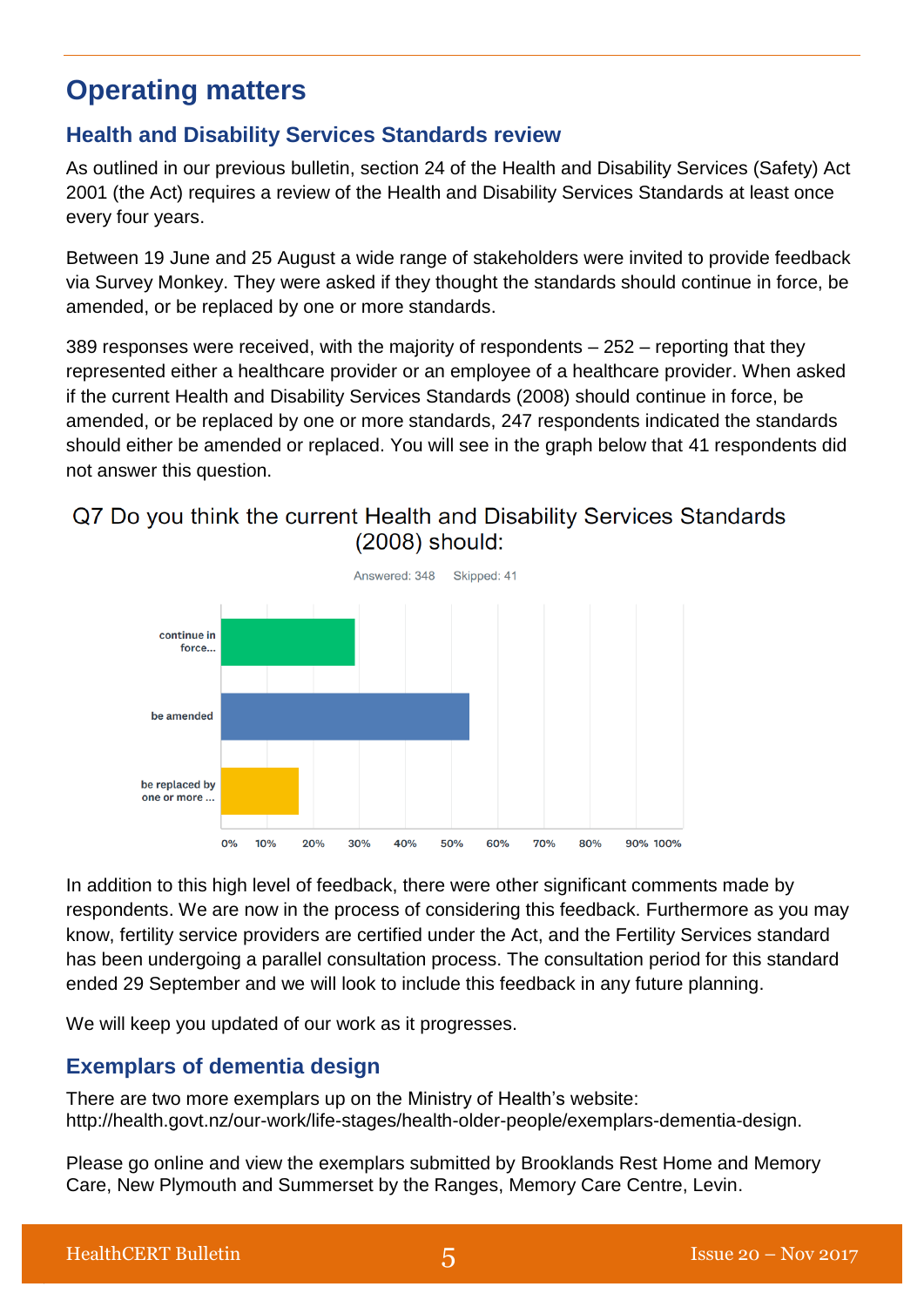## **Operating matters**

## **Health and Disability Services Standards review**

As outlined in our previous bulletin, section 24 of the Health and Disability Services (Safety) Act 2001 (the Act) requires a review of the Health and Disability Services Standards at least once every four years.

Between 19 June and 25 August a wide range of stakeholders were invited to provide feedback via Survey Monkey. They were asked if they thought the standards should continue in force, be amended, or be replaced by one or more standards.

389 responses were received, with the majority of respondents – 252 – reporting that they represented either a healthcare provider or an employee of a healthcare provider. When asked if the current Health and Disability Services Standards (2008) should continue in force, be amended, or be replaced by one or more standards, 247 respondents indicated the standards should either be amended or replaced. You will see in the graph below that 41 respondents did not answer this question.

## Q7 Do you think the current Health and Disability Services Standards  $(2008)$  should:



In addition to this high level of feedback, there were other significant comments made by respondents. We are now in the process of considering this feedback. Furthermore as you may know, fertility service providers are certified under the Act, and the Fertility Services standard has been undergoing a parallel consultation process. The consultation period for this standard ended 29 September and we will look to include this feedback in any future planning.

We will keep you updated of our work as it progresses.

## **Exemplars of dementia design**

There are two more exemplars up on the Ministry of Health's website: http://health.govt.nz/our-work/life-stages/health-older-people/exemplars-dementia-design.

Please go online and view the exemplars submitted by Brooklands Rest Home and Memory Care, New Plymouth and Summerset by the Ranges, Memory Care Centre, Levin.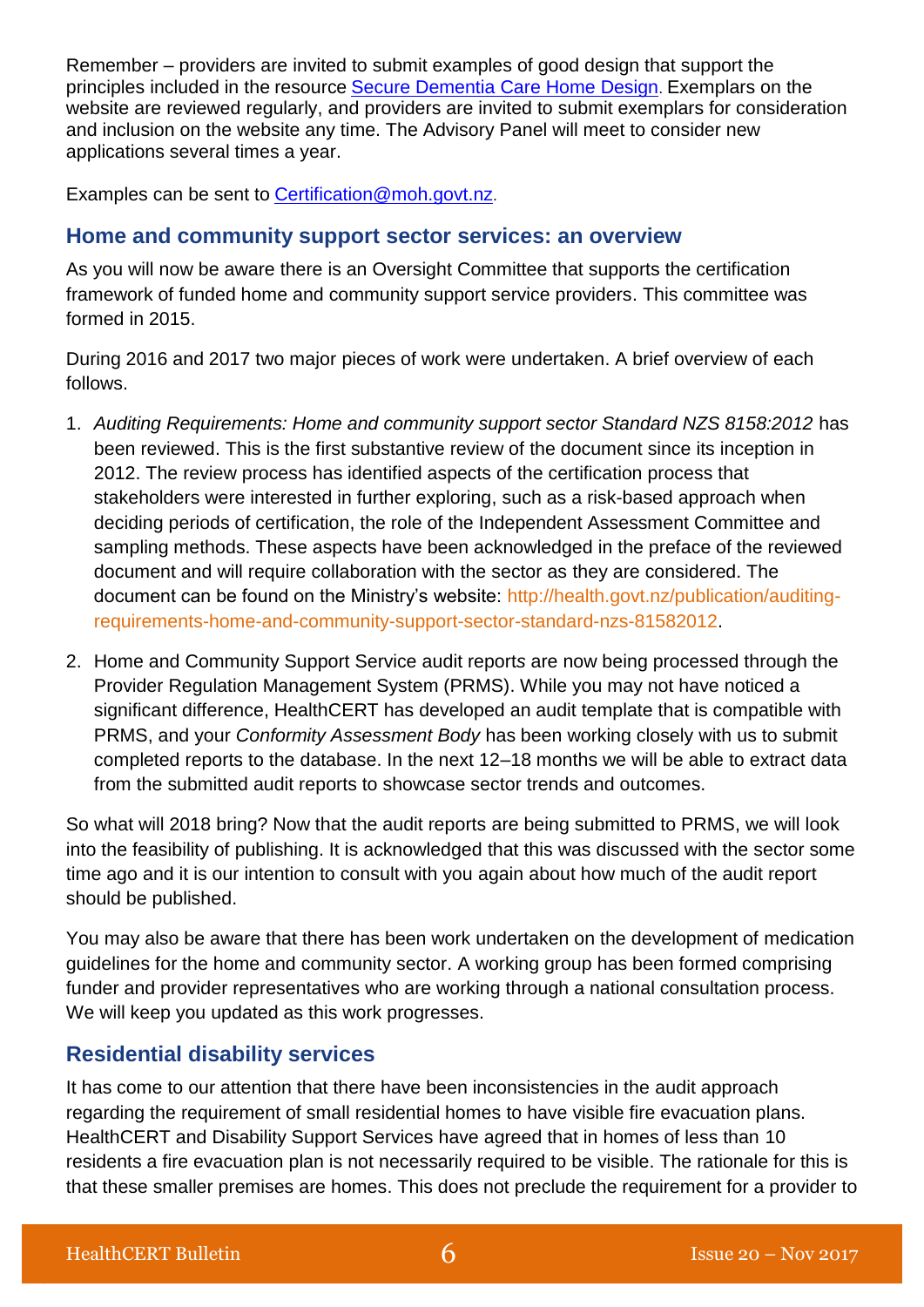Remember – providers are invited to submit examples of good design that support the principles included in the resource [Secure Dementia Care Home Design](http://www.health.govt.nz/publication/secure-dementia-care-home-design-information-resource). Exemplars on the website are reviewed regularly, and providers are invited to submit exemplars for consideration and inclusion on the website any time. The Advisory Panel will meet to consider new applications several times a year.

Examples can be sent to [Certification@moh.govt.nz](mailto:Certification@moh.govt.nz).

### **Home and community support sector services: an overview**

As you will now be aware there is an Oversight Committee that supports the certification framework of funded home and community support service providers. This committee was formed in 2015.

During 2016 and 2017 two major pieces of work were undertaken. A brief overview of each follows.

- 1. *Auditing Requirements: Home and community support sector Standard NZS 8158:2012* has been reviewed. This is the first substantive review of the document since its inception in 2012. The review process has identified aspects of the certification process that stakeholders were interested in further exploring, such as a risk-based approach when deciding periods of certification, the role of the Independent Assessment Committee and sampling methods. These aspects have been acknowledged in the preface of the reviewed document and will require collaboration with the sector as they are considered. The document can be found on the Ministry's website: [http://health.govt.nz/publication/auditing](http://health.govt.nz/publication/auditing-requirements-home-and-community-support-sector-standard-nzs-81582012)[requirements-home-and-community-support-sector-standard-nzs-81582012.](http://health.govt.nz/publication/auditing-requirements-home-and-community-support-sector-standard-nzs-81582012)
- 2. Home and Community Support Service audit report*s* are now being processed through the Provider Regulation Management System (PRMS). While you may not have noticed a significant difference, HealthCERT has developed an audit template that is compatible with PRMS, and your *Conformity Assessment Body* has been working closely with us to submit completed reports to the database. In the next 12–18 months we will be able to extract data from the submitted audit reports to showcase sector trends and outcomes.

So what will 2018 bring? Now that the audit reports are being submitted to PRMS, we will look into the feasibility of publishing. It is acknowledged that this was discussed with the sector some time ago and it is our intention to consult with you again about how much of the audit report should be published.

You may also be aware that there has been work undertaken on the development of medication guidelines for the home and community sector. A working group has been formed comprising funder and provider representatives who are working through a national consultation process. We will keep you updated as this work progresses.

## **Residential disability services**

It has come to our attention that there have been inconsistencies in the audit approach regarding the requirement of small residential homes to have visible fire evacuation plans. HealthCERT and Disability Support Services have agreed that in homes of less than 10 residents a fire evacuation plan is not necessarily required to be visible. The rationale for this is that these smaller premises are homes. This does not preclude the requirement for a provider to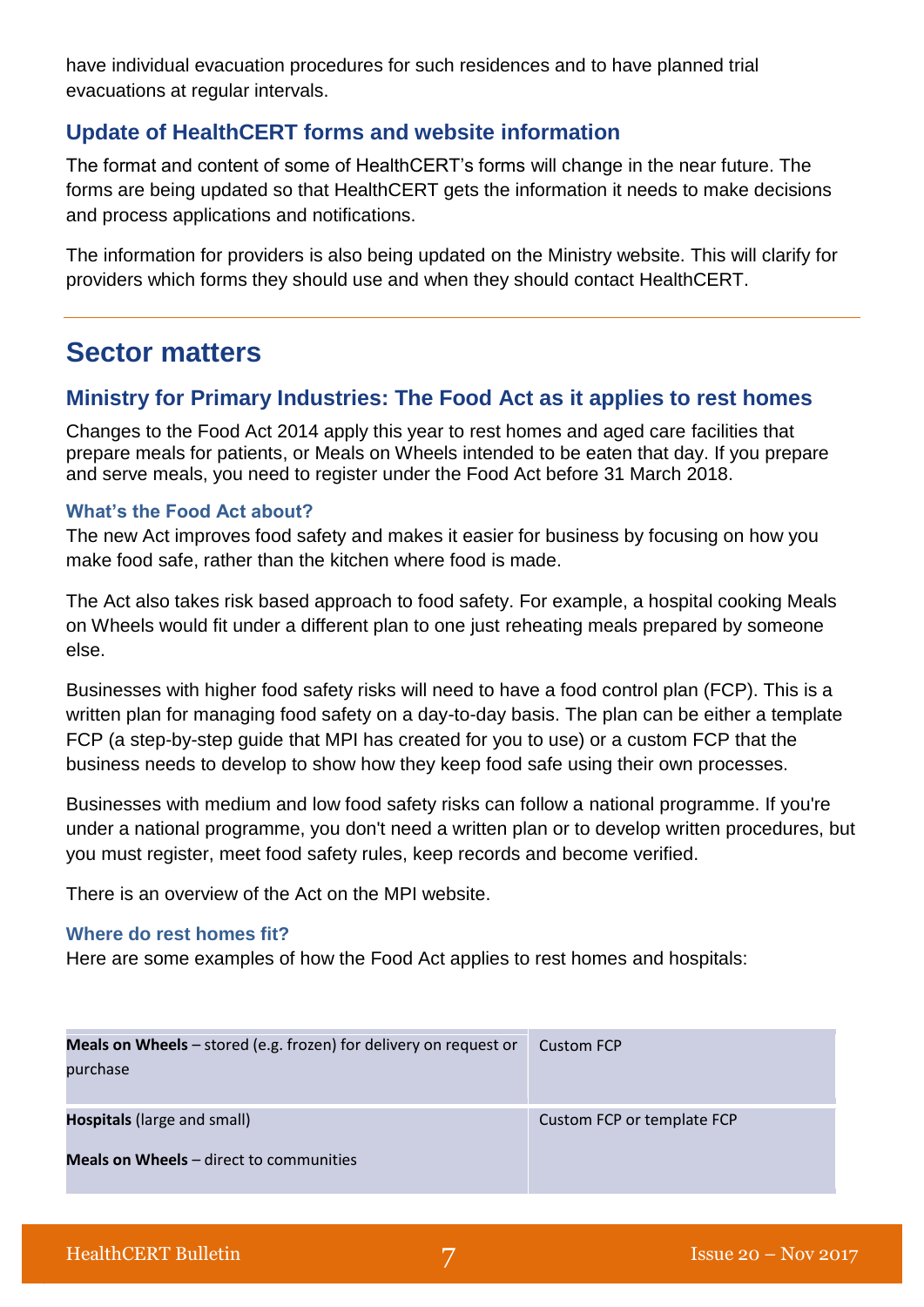have individual evacuation procedures for such residences and to have planned trial evacuations at regular intervals.

## **Update of HealthCERT forms and website information**

The format and content of some of HealthCERT's forms will change in the near future. The forms are being updated so that HealthCERT gets the information it needs to make decisions and process applications and notifications.

The information for providers is also being updated on the Ministry website. This will clarify for providers which forms they should use and when they should contact HealthCERT.

## **Sector matters**

## **Ministry for Primary Industries: The Food Act as it applies to rest homes**

Changes to the Food Act 2014 apply this year to rest homes and aged care facilities that prepare meals for patients, or Meals on Wheels intended to be eaten that day. If you prepare and serve meals, you need to register under the Food Act before 31 March 2018.

### **What's the Food Act about?**

The new Act improves food safety and makes it easier for business by focusing on how you make food safe, rather than the kitchen where food is made.

The Act also takes risk based approach to food safety. For example, a hospital cooking Meals on Wheels would fit under a different plan to one just reheating meals prepared by someone else.

Businesses with higher food safety risks will need to have a food control plan (FCP). This is a written plan for managing food safety on a day-to-day basis. The plan can be either a template FCP (a [step-by-step guide](http://www.mpi.govt.nz/food-safety/food-act-2014/food-control-plans/steps-to-a-template-food-control-plan/) that MPI has created for you to use) or a [custom FCP](http://www.mpi.govt.nz/food-safety/food-act-2014/food-control-plans/steps-to-a-custom-food-control-plan/) that the business needs to develop to show how they keep food safe using their own processes.

Businesses with medium and low food safety risks can follow a [national programme.](https://www.mpi.govt.nz/food-safety/food-act-2014/national-programmes/) If you're under a national programme, you don't need a written plan or to develop written procedures, but you must register, meet food safety rules, keep records and become verified.

There is an overview of the Act [on the MPI website.](http://www.mpi.govt.nz/food-safety/food-act-2014/overview/)

#### **Where do rest homes fit?**

Here are some examples of how the Food Act applies to rest homes and hospitals:

| <b>Meals on Wheels</b> $-$ stored (e.g. frozen) for delivery on request or<br>purchase | <b>Custom FCP</b>          |
|----------------------------------------------------------------------------------------|----------------------------|
| <b>Hospitals</b> (large and small)                                                     | Custom FCP or template FCP |
| <b>Meals on Wheels</b> – direct to communities                                         |                            |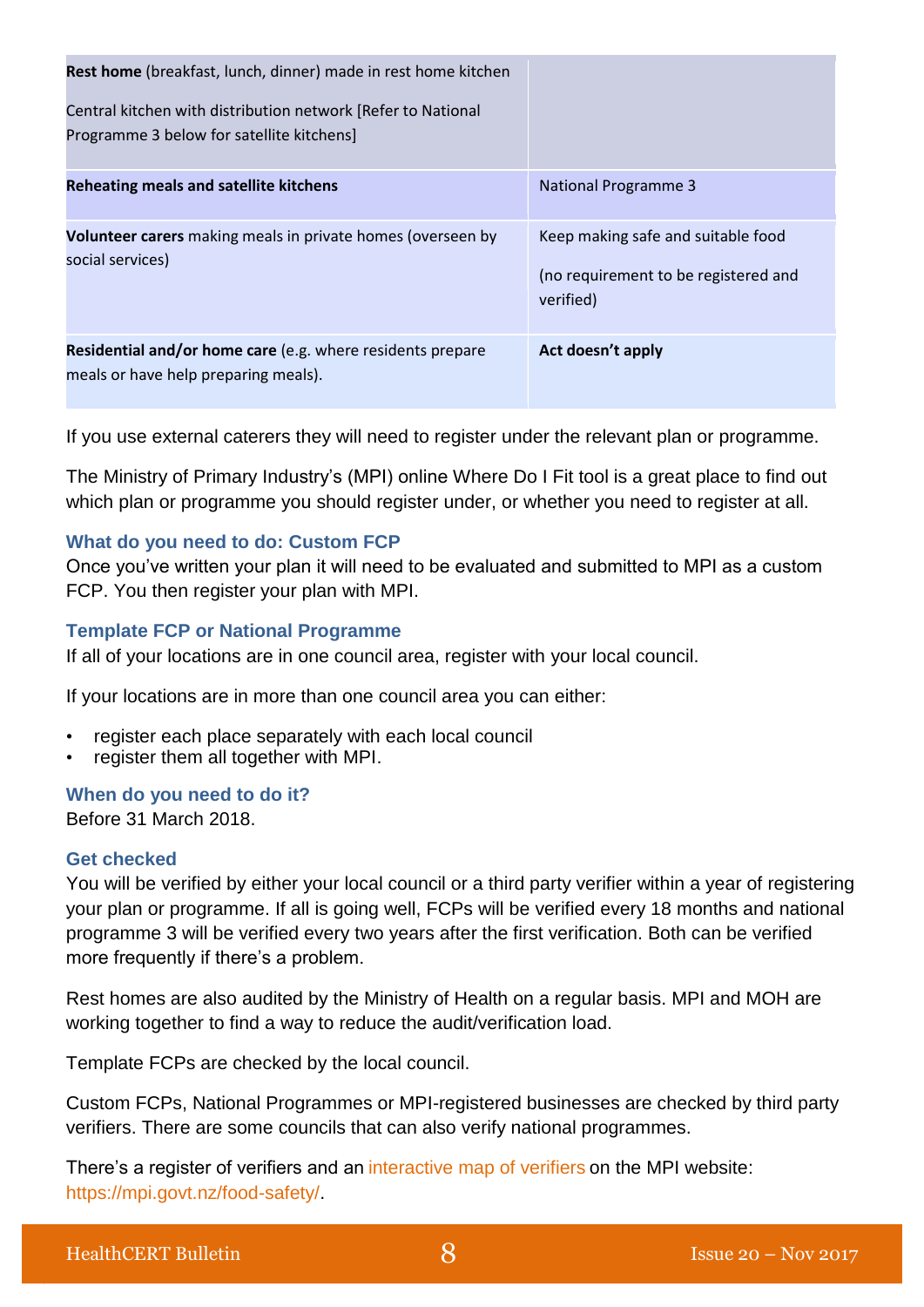| Rest home (breakfast, lunch, dinner) made in rest home kitchen<br>Central kitchen with distribution network [Refer to National<br>Programme 3 below for satellite kitchens] |                                                                                         |
|-----------------------------------------------------------------------------------------------------------------------------------------------------------------------------|-----------------------------------------------------------------------------------------|
| <b>Reheating meals and satellite kitchens</b>                                                                                                                               | <b>National Programme 3</b>                                                             |
| <b>Volunteer carers</b> making meals in private homes (overseen by<br>social services)                                                                                      | Keep making safe and suitable food<br>(no requirement to be registered and<br>verified) |
| Residential and/or home care (e.g. where residents prepare<br>meals or have help preparing meals).                                                                          | Act doesn't apply                                                                       |

If you use external caterers they will need to register under the relevant plan or programme.

The Ministry of Primary Industry's (MPI) online [Where Do I Fit](http://www.mpi.govt.nz/food-safety/food-act-2014/where-do-i-fit/) tool is a great place to find out which plan or programme you should register under, or whether you need to register at all.

### **What do you need to do: Custom FCP**

Once you've written your plan it will need to be evaluated and submitted to MPI as a custom FCP. You then register your plan with MPI.

#### **Template FCP or National Programme**

If all of your locations are in one council area, register with your local council.

If your locations are in more than one council area you can either:

- register each place separately with each local council
- register them all together with MPI.

#### **When do you need to do it?**

Before 31 March 2018.

#### **Get checked**

You will be verified by either your local council or a third party verifier within a year of registering your plan or programme. If all is going well, FCPs will be verified every 18 months and national programme 3 will be verified every two years after the first verification. Both can be verified more frequently if there's a problem.

Rest homes are also audited by the Ministry of Health on a regular basis. MPI and MOH are working together to find a way to reduce the audit/verification load.

Template FCPs are checked by the local council.

Custom FCPs, National Programmes or MPI-registered businesses are checked by third party verifiers. There are some councils that can also verify national programmes.

There's a register of verifiers and an [interactive map of verifiers](https://mpi.maps.arcgis.com/apps/webappviewer/index.html?id=7871123ed84d4a84876b980516da7e41) on the MPI website: [https://mpi.govt.nz/food-safety/.](https://mpi.govt.nz/food-safety/)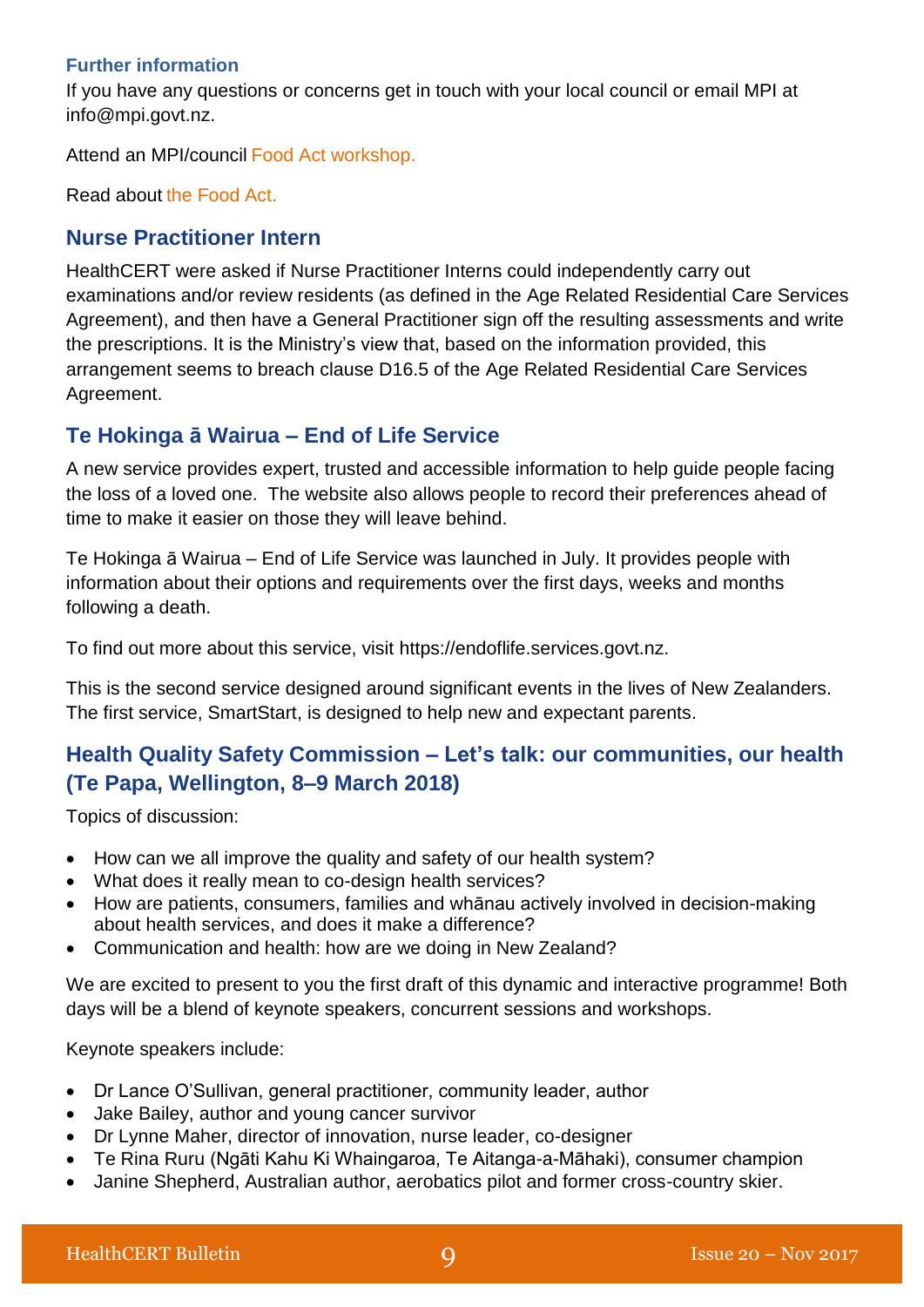### **Further information**

If you have any questions or concerns get in touch with your local council or email MPI at [info@mpi.govt.nz.](mailto:info@mpi.govt.nz)

Attend an MPI/council [Food Act workshop.](https://www.mpi.govt.nz/about-mpi/our-work/conferences-and-events/food-act-workshops-for-businesses/)

Read about [the Food Act.](http://www.mpi.govt.nz/food-safety/food-act-2014/)

## **Nurse Practitioner Intern**

HealthCERT were asked if Nurse Practitioner Interns could independently carry out examinations and/or review residents (as defined in the Age Related Residential Care Services Agreement), and then have a General Practitioner sign off the resulting assessments and write the prescriptions. It is the Ministry's view that, based on the information provided, this arrangement seems to breach clause D16.5 of the Age Related Residential Care Services Agreement.

## **Te Hokinga ā Wairua – End of Life Service**

A new service provides expert, trusted and accessible information to help guide people facing the loss of a loved one. The website also allows people to record their preferences ahead of time to make it easier on those they will leave behind.

Te Hokinga ā Wairua – End of Life Service was launched in July. It provides people with information about their options and requirements over the first days, weeks and months following a death.

To find out more about this service, visit https://endoflife.services.govt.nz.

This is the second service designed around significant events in the lives of New Zealanders. The first service, SmartStart, is designed to help new and expectant parents.

## **Health Quality Safety Commission – Let's talk: our communities, our health (Te Papa, Wellington, 8–9 March 2018)**

Topics of discussion:

- How can we all improve the quality and safety of our health system?
- What does it really mean to co-design health services?
- How are patients, consumers, families and whānau actively involved in decision-making about health services, and does it make a difference?
- Communication and health: how are we doing in New Zealand?

We are excited to present to you the first draft of this dynamic and interactive programme! Both days will be a blend of keynote speakers, concurrent sessions and workshops.

Keynote speakers include:

- Dr Lance O'Sullivan, general practitioner, community leader, author
- Jake Bailey, author and young cancer survivor
- Dr Lynne Maher, director of innovation, nurse leader, co-designer
- Te Rina Ruru (Ngāti Kahu Ki Whaingaroa, Te Aitanga-a-Māhaki), consumer champion
- Janine Shepherd, Australian author, aerobatics pilot and former cross-country skier.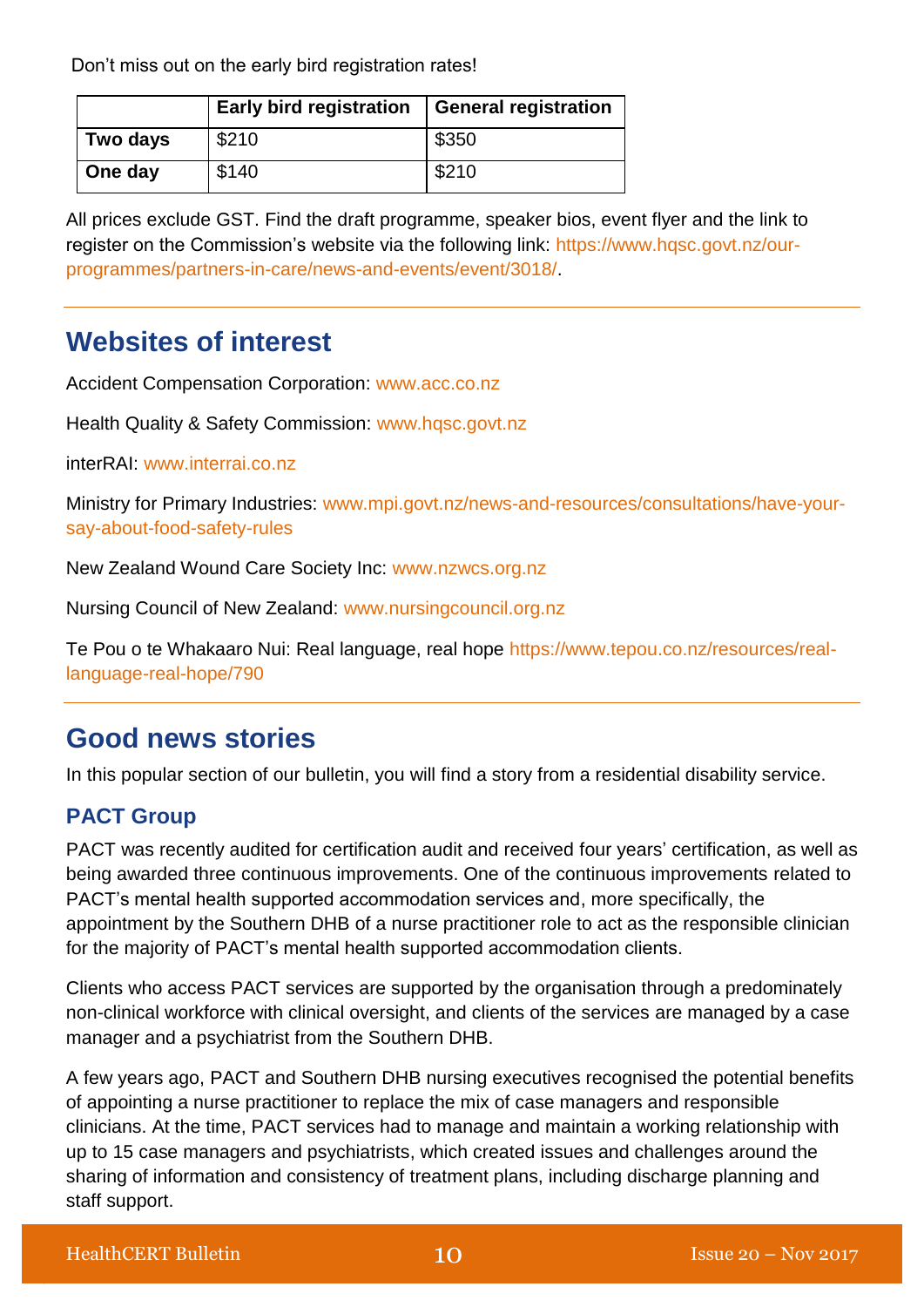Don't miss out on the early bird registration rates!

|          | <b>Early bird registration</b> | General registration |
|----------|--------------------------------|----------------------|
| Two days | \$210                          | \$350                |
| One day  | \$140                          | \$210                |

All prices exclude GST. Find the draft programme, speaker bios, event flyer and the link to register on the Commission's website via the following link: [https://www.hqsc.govt.nz/our](https://scanmail.trustwave.com/?c=5305&d=6KDp2UvInv193zaPGjj1VUpaiqWZpkXRVBO4ME_-LA&u=https%3a%2f%2fwww%2ehqsc%2egovt%2enz%2four-programmes%2fpartners-in-care%2fnews-and-events%2fevent%2f3018%2f)[programmes/partners-in-care/news-and-events/event/3018/.](https://scanmail.trustwave.com/?c=5305&d=6KDp2UvInv193zaPGjj1VUpaiqWZpkXRVBO4ME_-LA&u=https%3a%2f%2fwww%2ehqsc%2egovt%2enz%2four-programmes%2fpartners-in-care%2fnews-and-events%2fevent%2f3018%2f)

## **Websites of interest**

Accident Compensation Corporation: [www.acc.co.nz](http://www.acc.co.nz/)

Health Quality & Safety Commission: [www.hqsc.govt.nz](http://www.hqsc.govt.nz/our-programmes/partners-in-care/publications-and-resources/publication/2046/)

interRAI: [www.interrai.co.nz](http://www.interrai.co.nz/)

Ministry for Primary Industries: [www.mpi.govt.nz/news-and-resources/consultations/have-your](http://www.mpi.govt.nz/news-and-resources/consultations/have-your-say-about-food-safety-rules/)[say-about-food-safety-rules](http://www.mpi.govt.nz/news-and-resources/consultations/have-your-say-about-food-safety-rules/)

New Zealand Wound Care Society Inc: [www.nzwcs.org.nz](http://www.nzwcs.org.nz/)

Nursing Council of New Zealand: [www.nursingcouncil.org.nz](http://www.nursingcouncil.org.nz/)

Te Pou o te Whakaaro Nui: Real language, real hope [https://www.tepou.co.nz/resources/real](https://www.tepou.co.nz/resources/real-language-real-hope/790)[language-real-hope/790](https://www.tepou.co.nz/resources/real-language-real-hope/790)

## **Good news stories**

In this popular section of our bulletin, you will find a story from a residential disability service.

## **PACT Group**

PACT was recently audited for certification audit and received four years' certification, as well as being awarded three continuous improvements. One of the continuous improvements related to PACT's mental health supported accommodation services and, more specifically, the appointment by the Southern DHB of a nurse practitioner role to act as the responsible clinician for the majority of PACT's mental health supported accommodation clients.

Clients who access PACT services are supported by the organisation through a predominately non-clinical workforce with clinical oversight, and clients of the services are managed by a case manager and a psychiatrist from the Southern DHB.

A few years ago, PACT and Southern DHB nursing executives recognised the potential benefits of appointing a nurse practitioner to replace the mix of case managers and responsible clinicians. At the time, PACT services had to manage and maintain a working relationship with up to 15 case managers and psychiatrists, which created issues and challenges around the sharing of information and consistency of treatment plans, including discharge planning and staff support.